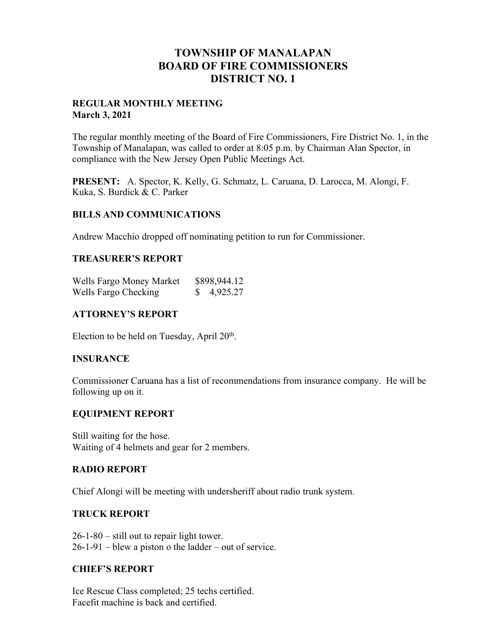## **TOWNSHIP OF MANALAPAN BOARD OF FIRE COMMISSIONERS DISTRICT NO. 1**

#### **REGULAR MONTHLY MEETING March 3, 2021**

The regular monthly meeting of the Board of Fire Commissioners, Fire District No. 1, in the Township of Manalapan, was called to order at 8:05 p.m. by Chairman Alan Spector, in compliance with the New Jersey Open Public Meetings Act.

**PRESENT:** A. Spector, K. Kelly, G. Schmatz, L. Caruana, D. Larocca, M. Alongi, F. Kuka, S. Burdick & C. Parker

#### **BILLS AND COMMUNICATIONS**

Andrew Macchio dropped off nominating petition to run for Commissioner.

#### **TREASURER'S REPORT**

| Wells Fargo Money Market | \$898,944.12 |
|--------------------------|--------------|
| Wells Fargo Checking     | 4,925.27     |

#### **ATTORNEY'S REPORT**

Election to be held on Tuesday, April  $20<sup>th</sup>$ .

#### **INSURANCE**

Commissioner Caruana has a list of recommendations from insurance company. He will be following up on it.

#### **EQUIPMENT REPORT**

Still waiting for the hose. Waiting of 4 helmets and gear for 2 members.

#### **RADIO REPORT**

Chief Alongi will be meeting with undersheriff about radio trunk system.

#### **TRUCK REPORT**

26-1-80 – still out to repair light tower. 26-1-91 – blew a piston o the ladder – out of service.

#### **CHIEF'S REPORT**

Ice Rescue Class completed; 25 techs certified. Facefit machine is back and certified.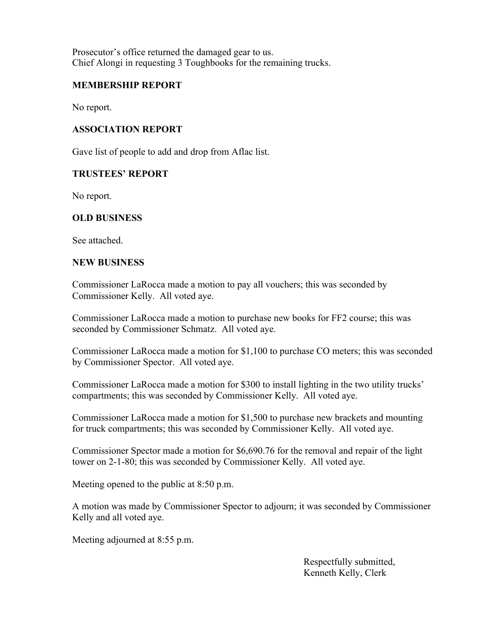Prosecutor's office returned the damaged gear to us. Chief Alongi in requesting 3 Toughbooks for the remaining trucks.

### **MEMBERSHIP REPORT**

No report.

#### **ASSOCIATION REPORT**

Gave list of people to add and drop from Aflac list.

#### **TRUSTEES' REPORT**

No report.

#### **OLD BUSINESS**

See attached.

#### **NEW BUSINESS**

Commissioner LaRocca made a motion to pay all vouchers; this was seconded by Commissioner Kelly. All voted aye.

Commissioner LaRocca made a motion to purchase new books for FF2 course; this was seconded by Commissioner Schmatz. All voted aye.

Commissioner LaRocca made a motion for \$1,100 to purchase CO meters; this was seconded by Commissioner Spector. All voted aye.

Commissioner LaRocca made a motion for \$300 to install lighting in the two utility trucks' compartments; this was seconded by Commissioner Kelly. All voted aye.

Commissioner LaRocca made a motion for \$1,500 to purchase new brackets and mounting for truck compartments; this was seconded by Commissioner Kelly. All voted aye.

Commissioner Spector made a motion for \$6,690.76 for the removal and repair of the light tower on 2-1-80; this was seconded by Commissioner Kelly. All voted aye.

Meeting opened to the public at 8:50 p.m.

A motion was made by Commissioner Spector to adjourn; it was seconded by Commissioner Kelly and all voted aye.

Meeting adjourned at 8:55 p.m.

 Respectfully submitted, Kenneth Kelly, Clerk